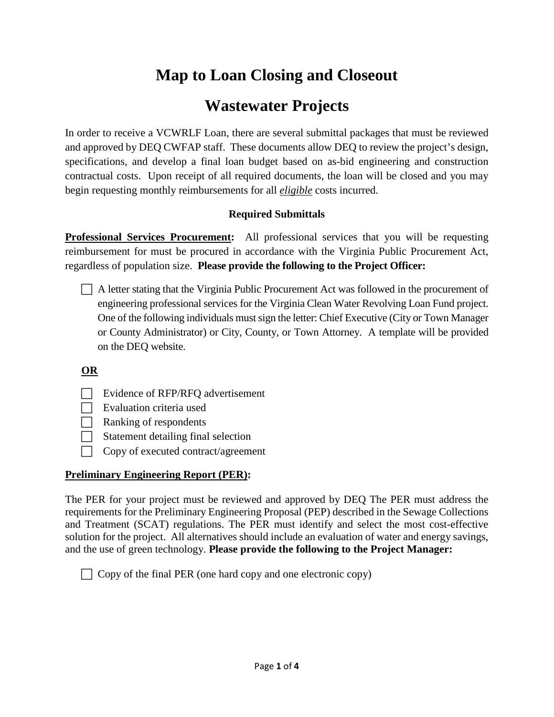# **Map to Loan Closing and Closeout**

# **Wastewater Projects**

In order to receive a VCWRLF Loan, there are several submittal packages that must be reviewed and approved by DEQ CWFAP staff. These documents allow DEQ to review the project's design, specifications, and develop a final loan budget based on as-bid engineering and construction contractual costs. Upon receipt of all required documents, the loan will be closed and you may begin requesting monthly reimbursements for all *eligible* costs incurred.

# **Required Submittals**

**Professional Services Procurement:** All professional services that you will be requesting reimbursement for must be procured in accordance with the Virginia Public Procurement Act, regardless of population size. **Please provide the following to the Project Officer:** 

 A letter stating that the Virginia Public Procurement Act was followed in the procurement of engineering professional services for the Virginia Clean Water Revolving Loan Fund project. One of the following individuals must sign the letter: Chief Executive (City or Town Manager or County Administrator) or City, County, or Town Attorney. A template will be provided on the DEQ website.

# **OR**

 $\Box$  Evidence of RFP/RFQ advertisement

 $\Box$  Evaluation criteria used

- $\Box$  Ranking of respondents
- $\Box$  Statement detailing final selection
- $\Box$  Copy of executed contract/agreement

# **Preliminary Engineering Report (PER):**

The PER for your project must be reviewed and approved by DEQ The PER must address the requirements for the Preliminary Engineering Proposal (PEP) described in the Sewage Collections and Treatment (SCAT) regulations. The PER must identify and select the most cost-effective solution for the project. All alternatives should include an evaluation of water and energy savings, and the use of green technology. **Please provide the following to the Project Manager:**

 $\Box$  Copy of the final PER (one hard copy and one electronic copy)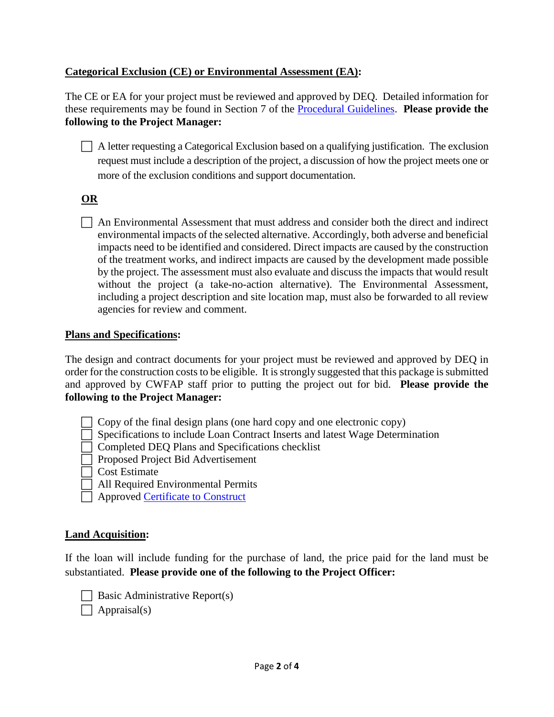## **Categorical Exclusion (CE) or Environmental Assessment (EA):**

The CE or EA for your project must be reviewed and approved by DEQ. Detailed information for these requirements may be found in Section 7 of the [Procedural Guidelines](https://www.deq.virginia.gov/Portals/0/DEQ/Water/ConstructionAssistanceProgram/Procedural_Guidelines-May_2017.pdf?ver=2017-05-10-132631-530). **Please provide the following to the Project Manager:**

 $\Box$  A letter requesting a Categorical Exclusion based on a qualifying justification. The exclusion request must include a description of the project, a discussion of how the project meets one or more of the exclusion conditions and support documentation.

## **OR**

 $\Box$  An Environmental Assessment that must address and consider both the direct and indirect environmental impacts of the selected alternative. Accordingly, both adverse and beneficial impacts need to be identified and considered. Direct impacts are caused by the construction of the treatment works, and indirect impacts are caused by the development made possible by the project. The assessment must also evaluate and discuss the impacts that would result without the project (a take-no-action alternative). The Environmental Assessment, including a project description and site location map, must also be forwarded to all review agencies for review and comment.

#### **Plans and Specifications:**

The design and contract documents for your project must be reviewed and approved by DEQ in order for the construction costs to be eligible. It isstrongly suggested that this package is submitted and approved by CWFAP staff prior to putting the project out for bid. **Please provide the following to the Project Manager:** 

- Copy of the final design plans (one hard copy and one electronic copy)
- Specifications to include Loan Contract Inserts and latest Wage Determination
- Completed DEQ Plans and Specifications checklist
- **Proposed Project Bid Advertisement**
- Cost Estimate
- All Required Environmental Permits
- Approved [Certificate to Construct](https://www.deq.virginia.gov/Programs/Water/WastewaterEngineering/RegulationsCertificates.aspx)

### **Land Acquisition:**

If the loan will include funding for the purchase of land, the price paid for the land must be substantiated. **Please provide one of the following to the Project Officer:** 

- $\Box$  Basic Administrative Report(s)
- $\Box$  Appraisal(s)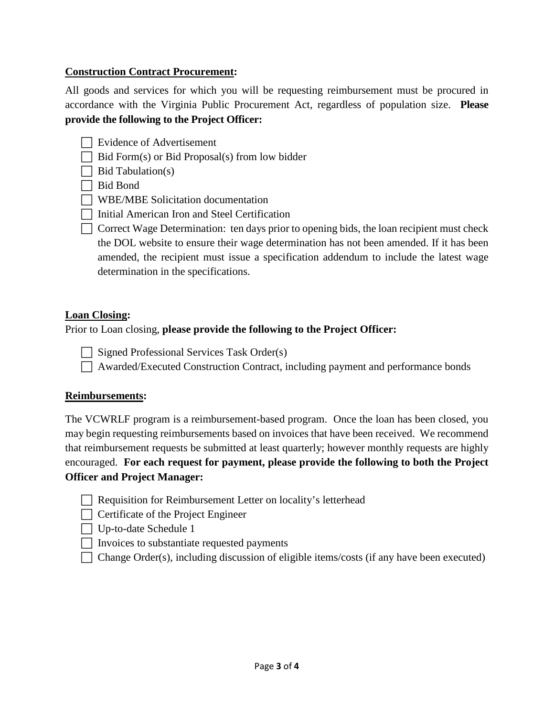## **Construction Contract Procurement:**

All goods and services for which you will be requesting reimbursement must be procured in accordance with the Virginia Public Procurement Act, regardless of population size. **Please provide the following to the Project Officer:** 

- Evidence of Advertisement
- $\Box$  Bid Form(s) or Bid Proposal(s) from low bidder

 $\Box$  Bid Tabulation(s)

Bid Bond

WBE/MBE Solicitation documentation

- Initial American Iron and Steel Certification
- $\Box$  Correct Wage Determination: ten days prior to opening bids, the loan recipient must check the DOL website to ensure their wage determination has not been amended. If it has been amended, the recipient must issue a specification addendum to include the latest wage determination in the specifications.

#### **Loan Closing:**

Prior to Loan closing, **please provide the following to the Project Officer:**

 $\Box$  Signed Professional Services Task Order(s)

Awarded/Executed Construction Contract, including payment and performance bonds

#### **Reimbursements:**

The VCWRLF program is a reimbursement-based program. Once the loan has been closed, you may begin requesting reimbursements based on invoices that have been received. We recommend that reimbursement requests be submitted at least quarterly; however monthly requests are highly encouraged. **For each request for payment, please provide the following to both the Project Officer and Project Manager:** 

- Requisition for Reimbursement Letter on locality's letterhead
- $\Box$  Certificate of the Project Engineer

- $\Box$  Invoices to substantiate requested payments
- $\Box$  Change Order(s), including discussion of eligible items/costs (if any have been executed)